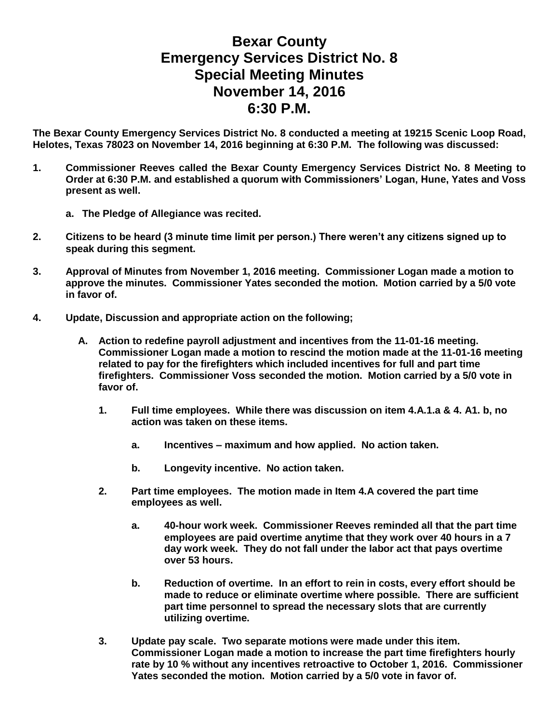## **Bexar County Emergency Services District No. 8 Special Meeting Minutes November 14, 2016 6:30 P.M.**

**The Bexar County Emergency Services District No. 8 conducted a meeting at 19215 Scenic Loop Road, Helotes, Texas 78023 on November 14, 2016 beginning at 6:30 P.M. The following was discussed:**

- **1. Commissioner Reeves called the Bexar County Emergency Services District No. 8 Meeting to Order at 6:30 P.M. and established a quorum with Commissioners' Logan, Hune, Yates and Voss present as well.**
	- **a. The Pledge of Allegiance was recited.**
- **2. Citizens to be heard (3 minute time limit per person.) There weren't any citizens signed up to speak during this segment.**
- **3. Approval of Minutes from November 1, 2016 meeting. Commissioner Logan made a motion to approve the minutes. Commissioner Yates seconded the motion. Motion carried by a 5/0 vote in favor of.**
- **4. Update, Discussion and appropriate action on the following;**
	- **A. Action to redefine payroll adjustment and incentives from the 11-01-16 meeting. Commissioner Logan made a motion to rescind the motion made at the 11-01-16 meeting related to pay for the firefighters which included incentives for full and part time firefighters. Commissioner Voss seconded the motion. Motion carried by a 5/0 vote in favor of.** 
		- **1. Full time employees. While there was discussion on item 4.A.1.a & 4. A1. b, no action was taken on these items.**
			- **a. Incentives – maximum and how applied. No action taken.**
			- **b. Longevity incentive. No action taken.**
		- **2. Part time employees. The motion made in Item 4.A covered the part time employees as well.** 
			- **a. 40-hour work week. Commissioner Reeves reminded all that the part time employees are paid overtime anytime that they work over 40 hours in a 7 day work week. They do not fall under the labor act that pays overtime over 53 hours.**
			- **b. Reduction of overtime. In an effort to rein in costs, every effort should be made to reduce or eliminate overtime where possible. There are sufficient part time personnel to spread the necessary slots that are currently utilizing overtime.**
		- **3. Update pay scale. Two separate motions were made under this item. Commissioner Logan made a motion to increase the part time firefighters hourly rate by 10 % without any incentives retroactive to October 1, 2016. Commissioner Yates seconded the motion. Motion carried by a 5/0 vote in favor of.**